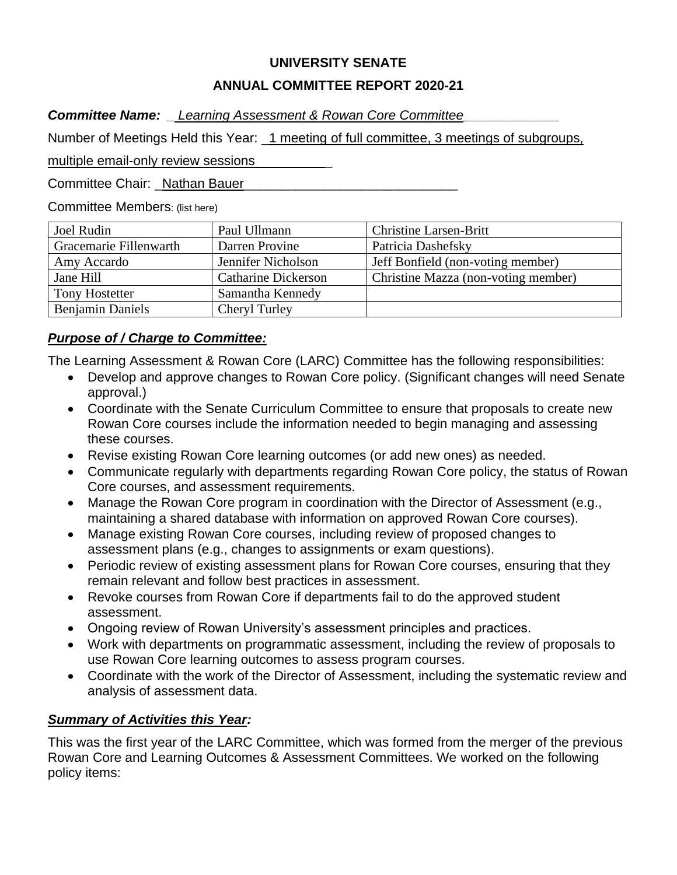## **UNIVERSITY SENATE**

## **ANNUAL COMMITTEE REPORT 2020-21**

*Committee Name: \_ Learning Assessment & Rowan Core Committee\_\_\_\_\_\_\_\_\_\_\_\_\_*

Number of Meetings Held this Year: \_1 meeting of full committee, 3 meetings of subgroups,

multiple email-only review sessions

Committee Chair: Nathan Bauer

Committee Members: (list here)

| Joel Rudin              | Paul Ullmann               | <b>Christine Larsen-Britt</b>       |
|-------------------------|----------------------------|-------------------------------------|
| Gracemarie Fillenwarth  | Darren Provine             | Patricia Dashefsky                  |
| Amy Accardo             | Jennifer Nicholson         | Jeff Bonfield (non-voting member)   |
| Jane Hill               | <b>Catharine Dickerson</b> | Christine Mazza (non-voting member) |
| <b>Tony Hostetter</b>   | Samantha Kennedy           |                                     |
| <b>Benjamin Daniels</b> | <b>Cheryl Turley</b>       |                                     |

## *Purpose of / Charge to Committee:*

The Learning Assessment & Rowan Core (LARC) Committee has the following responsibilities:

- Develop and approve changes to Rowan Core policy. (Significant changes will need Senate approval.)
- Coordinate with the Senate Curriculum Committee to ensure that proposals to create new Rowan Core courses include the information needed to begin managing and assessing these courses.
- Revise existing Rowan Core learning outcomes (or add new ones) as needed.
- Communicate regularly with departments regarding Rowan Core policy, the status of Rowan Core courses, and assessment requirements.
- Manage the Rowan Core program in coordination with the Director of Assessment (e.g., maintaining a shared database with information on approved Rowan Core courses).
- Manage existing Rowan Core courses, including review of proposed changes to assessment plans (e.g., changes to assignments or exam questions).
- Periodic review of existing assessment plans for Rowan Core courses, ensuring that they remain relevant and follow best practices in assessment.
- Revoke courses from Rowan Core if departments fail to do the approved student assessment.
- Ongoing review of Rowan University's assessment principles and practices.
- Work with departments on programmatic assessment, including the review of proposals to use Rowan Core learning outcomes to assess program courses.
- Coordinate with the work of the Director of Assessment, including the systematic review and analysis of assessment data.

# *Summary of Activities this Year:*

This was the first year of the LARC Committee, which was formed from the merger of the previous Rowan Core and Learning Outcomes & Assessment Committees. We worked on the following policy items: